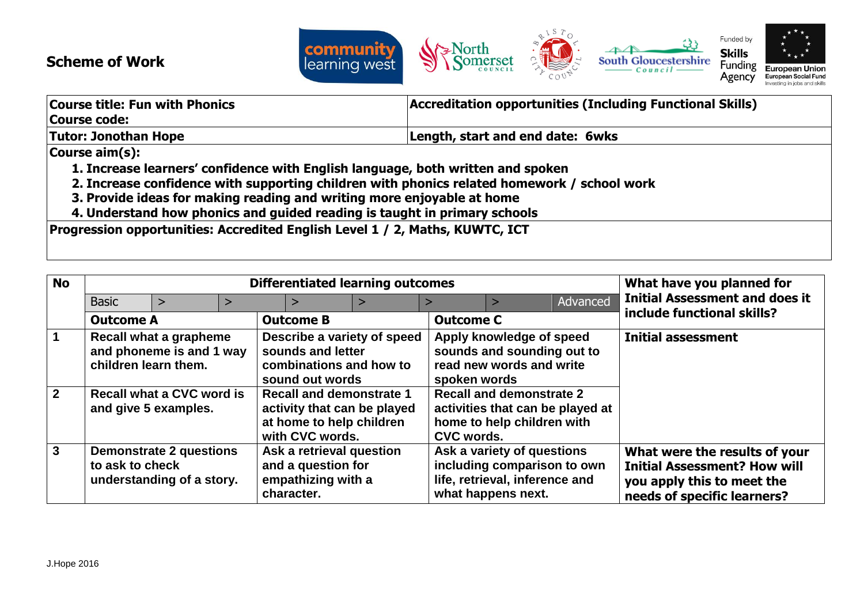## **Scheme of Work**



| <b>Course title: Fun with Phonics</b>                                                       | <b>Accreditation opportunities (Including Functional Skills)</b> |  |  |
|---------------------------------------------------------------------------------------------|------------------------------------------------------------------|--|--|
| Course code:                                                                                |                                                                  |  |  |
| Tutor: Jonothan Hope<br>Length, start and end date: 6wks                                    |                                                                  |  |  |
| Course aim(s):                                                                              |                                                                  |  |  |
| 1. Increase learners' confidence with English language, both written and spoken             |                                                                  |  |  |
| 2. Increase confidence with supporting children with phonics related homework / school work |                                                                  |  |  |
| 3. Provide ideas for making reading and writing more enjoyable at home                      |                                                                  |  |  |
| 4. Understand how phonics and guided reading is taught in primary schools                   |                                                                  |  |  |
| Progression opportunities: Accredited English Level 1 / 2, Maths, KUWTC, ICT                |                                                                  |  |  |

| <b>No</b>      | <b>Differentiated learning outcomes</b>                                                                                                                            |                                                             |  |                                                                                    |                                                                                                   |                  | What have you planned for                                                                                         |          |                                                                                                                                   |
|----------------|--------------------------------------------------------------------------------------------------------------------------------------------------------------------|-------------------------------------------------------------|--|------------------------------------------------------------------------------------|---------------------------------------------------------------------------------------------------|------------------|-------------------------------------------------------------------------------------------------------------------|----------|-----------------------------------------------------------------------------------------------------------------------------------|
|                | <b>Basic</b>                                                                                                                                                       | >                                                           |  | $\geq$                                                                             |                                                                                                   |                  |                                                                                                                   | Advanced | <b>Initial Assessment and does it</b>                                                                                             |
|                | <b>Outcome A</b>                                                                                                                                                   |                                                             |  | <b>Outcome B</b>                                                                   |                                                                                                   | <b>Outcome C</b> |                                                                                                                   |          | include functional skills?                                                                                                        |
|                | children learn them.                                                                                                                                               | Recall what a grapheme<br>and phoneme is and 1 way          |  | sounds and letter<br>combinations and how to<br>sound out words                    | Describe a variety of speed                                                                       | spoken words     | Apply knowledge of speed<br>sounds and sounding out to<br>read new words and write                                |          | <b>Initial assessment</b>                                                                                                         |
| $\overline{2}$ | Recall what a CVC word is<br><b>Recall and demonstrate 1</b><br>activity that can be played<br>and give 5 examples.<br>at home to help children<br>with CVC words. |                                                             |  | <b>CVC words.</b>                                                                  | <b>Recall and demonstrate 2</b><br>activities that can be played at<br>home to help children with |                  |                                                                                                                   |          |                                                                                                                                   |
| $\mathbf{3}$   | to ask to check                                                                                                                                                    | <b>Demonstrate 2 questions</b><br>understanding of a story. |  | Ask a retrieval question<br>and a question for<br>empathizing with a<br>character. |                                                                                                   |                  | Ask a variety of questions<br>including comparison to own<br>life, retrieval, inference and<br>what happens next. |          | What were the results of your<br><b>Initial Assessment? How will</b><br>you apply this to meet the<br>needs of specific learners? |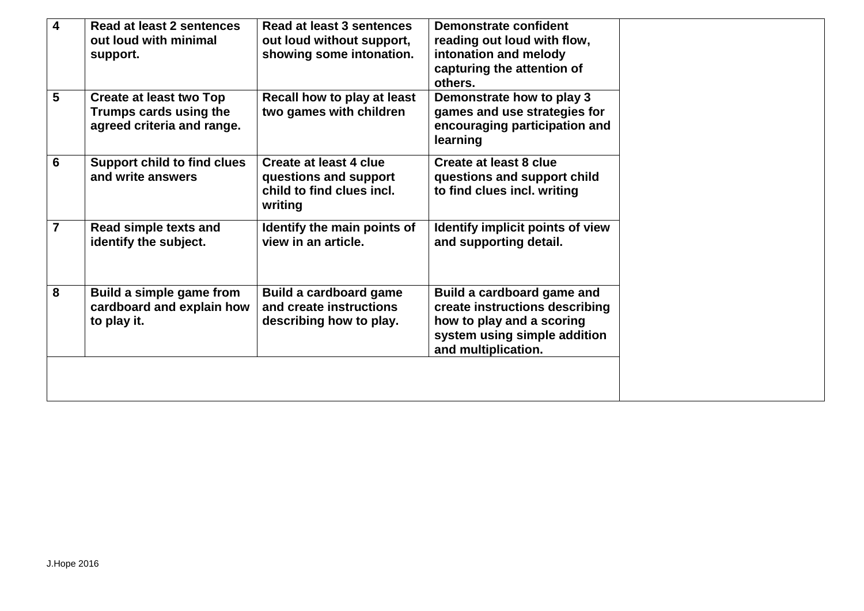| 4 | Read at least 2 sentences<br>out loud with minimal<br>support.                  | Read at least 3 sentences<br>out loud without support,<br>showing some intonation.      | <b>Demonstrate confident</b><br>reading out loud with flow,<br>intonation and melody<br>capturing the attention of<br>others.                    |  |
|---|---------------------------------------------------------------------------------|-----------------------------------------------------------------------------------------|--------------------------------------------------------------------------------------------------------------------------------------------------|--|
| 5 | Create at least two Top<br>Trumps cards using the<br>agreed criteria and range. | Recall how to play at least<br>two games with children                                  | Demonstrate how to play 3<br>games and use strategies for<br>encouraging participation and<br>learning                                           |  |
| 6 | <b>Support child to find clues</b><br>and write answers                         | Create at least 4 clue<br>questions and support<br>child to find clues incl.<br>writing | Create at least 8 clue<br>questions and support child<br>to find clues incl. writing                                                             |  |
| 7 | Read simple texts and<br>identify the subject.                                  | Identify the main points of<br>view in an article.                                      | Identify implicit points of view<br>and supporting detail.                                                                                       |  |
| 8 | Build a simple game from<br>cardboard and explain how<br>to play it.            | <b>Build a cardboard game</b><br>and create instructions<br>describing how to play.     | Build a cardboard game and<br>create instructions describing<br>how to play and a scoring<br>system using simple addition<br>and multiplication. |  |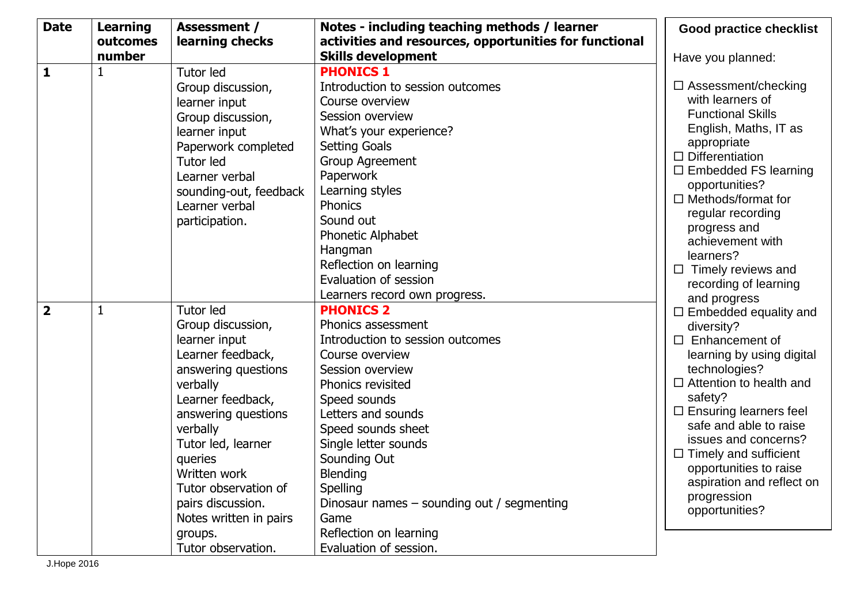| <b>Date</b>    | <b>Learning</b> | <b>Assessment /</b>    | Notes - including teaching methods / learner           | <b>Good practice checklist</b>                      |
|----------------|-----------------|------------------------|--------------------------------------------------------|-----------------------------------------------------|
|                | outcomes        | learning checks        | activities and resources, opportunities for functional |                                                     |
|                | number          |                        | <b>Skills development</b>                              | Have you planned:                                   |
| $\mathbf{1}$   | 1               | <b>Tutor led</b>       | <b>PHONICS 1</b>                                       |                                                     |
|                |                 | Group discussion,      | Introduction to session outcomes                       | $\Box$ Assessment/checking                          |
|                |                 | learner input          | Course overview                                        | with learners of                                    |
|                |                 | Group discussion,      | Session overview                                       | <b>Functional Skills</b>                            |
|                |                 | learner input          | What's your experience?                                | English, Maths, IT as                               |
|                |                 | Paperwork completed    | <b>Setting Goals</b>                                   | appropriate                                         |
|                |                 | <b>Tutor led</b>       | <b>Group Agreement</b>                                 | $\Box$ Differentiation                              |
|                |                 | Learner verbal         | Paperwork                                              | $\Box$ Embedded FS learning                         |
|                |                 | sounding-out, feedback | Learning styles                                        | opportunities?                                      |
|                |                 | Learner verbal         | Phonics                                                | $\Box$ Methods/format for                           |
|                |                 | participation.         | Sound out                                              | regular recording                                   |
|                |                 |                        | Phonetic Alphabet                                      | progress and<br>achievement with                    |
|                |                 |                        | Hangman                                                | learners?                                           |
|                |                 |                        | Reflection on learning                                 | $\Box$ Timely reviews and                           |
|                |                 |                        | Evaluation of session                                  | recording of learning                               |
|                |                 |                        | Learners record own progress.                          | and progress                                        |
| $\overline{2}$ | $\mathbf{1}$    | <b>Tutor led</b>       | <b>PHONICS 2</b>                                       | $\Box$ Embedded equality and                        |
|                |                 | Group discussion,      | Phonics assessment                                     | diversity?                                          |
|                |                 | learner input          | Introduction to session outcomes                       | $\Box$ Enhancement of                               |
|                |                 | Learner feedback,      | Course overview                                        | learning by using digital                           |
|                |                 | answering questions    | Session overview                                       | technologies?                                       |
|                |                 | verbally               | Phonics revisited                                      | $\Box$ Attention to health and                      |
|                |                 | Learner feedback,      | Speed sounds                                           | safety?                                             |
|                |                 | answering questions    | Letters and sounds                                     | $\Box$ Ensuring learners feel                       |
|                |                 | verbally               | Speed sounds sheet                                     | safe and able to raise                              |
|                |                 | Tutor led, learner     | Single letter sounds                                   | issues and concerns?                                |
|                |                 | queries                | Sounding Out                                           | $\Box$ Timely and sufficient                        |
|                |                 | Written work           | Blending                                               | opportunities to raise<br>aspiration and reflect on |
|                |                 | Tutor observation of   | Spelling                                               | progression                                         |
|                |                 | pairs discussion.      | Dinosaur names - sounding out / segmenting             | opportunities?                                      |
|                |                 | Notes written in pairs | Game                                                   |                                                     |
|                |                 | groups.                | Reflection on learning                                 |                                                     |
|                |                 | Tutor observation.     | Evaluation of session.                                 |                                                     |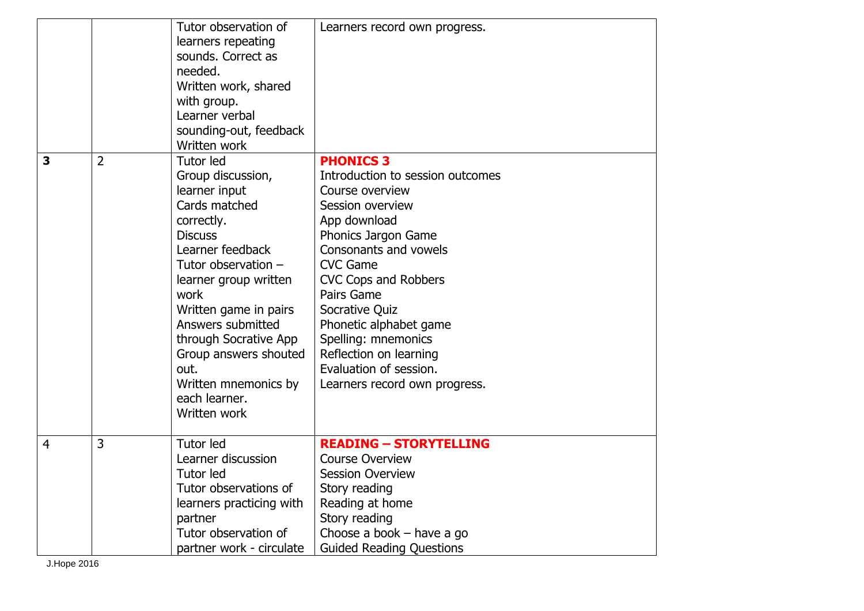|                |                | Tutor observation of<br>learners repeating<br>sounds. Correct as<br>needed.<br>Written work, shared<br>with group.<br>Learner verbal<br>sounding-out, feedback<br>Written work                                                                                                                                                                | Learners record own progress.                                                                                                                                                                                                                                                                                                                                                |
|----------------|----------------|-----------------------------------------------------------------------------------------------------------------------------------------------------------------------------------------------------------------------------------------------------------------------------------------------------------------------------------------------|------------------------------------------------------------------------------------------------------------------------------------------------------------------------------------------------------------------------------------------------------------------------------------------------------------------------------------------------------------------------------|
| 3              | $\overline{2}$ | Tutor led<br>Group discussion,<br>learner input<br>Cards matched<br>correctly.<br><b>Discuss</b><br>Learner feedback<br>Tutor observation -<br>learner group written<br>work<br>Written game in pairs<br>Answers submitted<br>through Socrative App<br>Group answers shouted<br>out.<br>Written mnemonics by<br>each learner.<br>Written work | <b>PHONICS 3</b><br>Introduction to session outcomes<br>Course overview<br>Session overview<br>App download<br>Phonics Jargon Game<br>Consonants and vowels<br><b>CVC Game</b><br>CVC Cops and Robbers<br>Pairs Game<br>Socrative Quiz<br>Phonetic alphabet game<br>Spelling: mnemonics<br>Reflection on learning<br>Evaluation of session.<br>Learners record own progress. |
| $\overline{4}$ | 3              | Tutor led<br>Learner discussion<br>Tutor led<br>Tutor observations of<br>learners practicing with<br>partner<br>Tutor observation of<br>partner work - circulate                                                                                                                                                                              | <b>READING - STORYTELLING</b><br><b>Course Overview</b><br><b>Session Overview</b><br>Story reading<br>Reading at home<br>Story reading<br>Choose a book $-$ have a go<br><b>Guided Reading Questions</b>                                                                                                                                                                    |

J.Hope 2016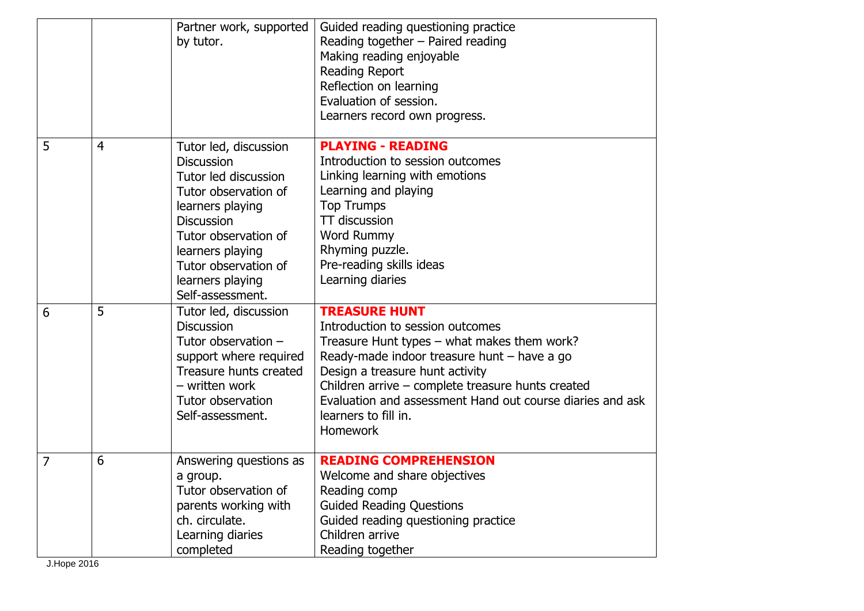|   |                | Partner work, supported<br>by tutor.                                                                                                                                                                                                            | Guided reading questioning practice<br>Reading together - Paired reading<br>Making reading enjoyable<br><b>Reading Report</b><br>Reflection on learning<br>Evaluation of session.<br>Learners record own progress.                                                                                                                              |
|---|----------------|-------------------------------------------------------------------------------------------------------------------------------------------------------------------------------------------------------------------------------------------------|-------------------------------------------------------------------------------------------------------------------------------------------------------------------------------------------------------------------------------------------------------------------------------------------------------------------------------------------------|
| 5 | $\overline{4}$ | Tutor led, discussion<br><b>Discussion</b><br>Tutor led discussion<br>Tutor observation of<br>learners playing<br><b>Discussion</b><br>Tutor observation of<br>learners playing<br>Tutor observation of<br>learners playing<br>Self-assessment. | <b>PLAYING - READING</b><br>Introduction to session outcomes<br>Linking learning with emotions<br>Learning and playing<br><b>Top Trumps</b><br>TT discussion<br>Word Rummy<br>Rhyming puzzle.<br>Pre-reading skills ideas<br>Learning diaries                                                                                                   |
| 6 | 5              | Tutor led, discussion<br><b>Discussion</b><br>Tutor observation $-$<br>support where required<br>Treasure hunts created<br>- written work<br>Tutor observation<br>Self-assessment.                                                              | <b>TREASURE HUNT</b><br>Introduction to session outcomes<br>Treasure Hunt types - what makes them work?<br>Ready-made indoor treasure hunt - have a go<br>Design a treasure hunt activity<br>Children arrive - complete treasure hunts created<br>Evaluation and assessment Hand out course diaries and ask<br>learners to fill in.<br>Homework |
| 7 | 6              | Answering questions as<br>a group.<br>Tutor observation of<br>parents working with<br>ch. circulate.<br>Learning diaries<br>completed                                                                                                           | <b>READING COMPREHENSION</b><br>Welcome and share objectives<br>Reading comp<br><b>Guided Reading Questions</b><br>Guided reading questioning practice<br>Children arrive<br>Reading together                                                                                                                                                   |

J.Hope 2016